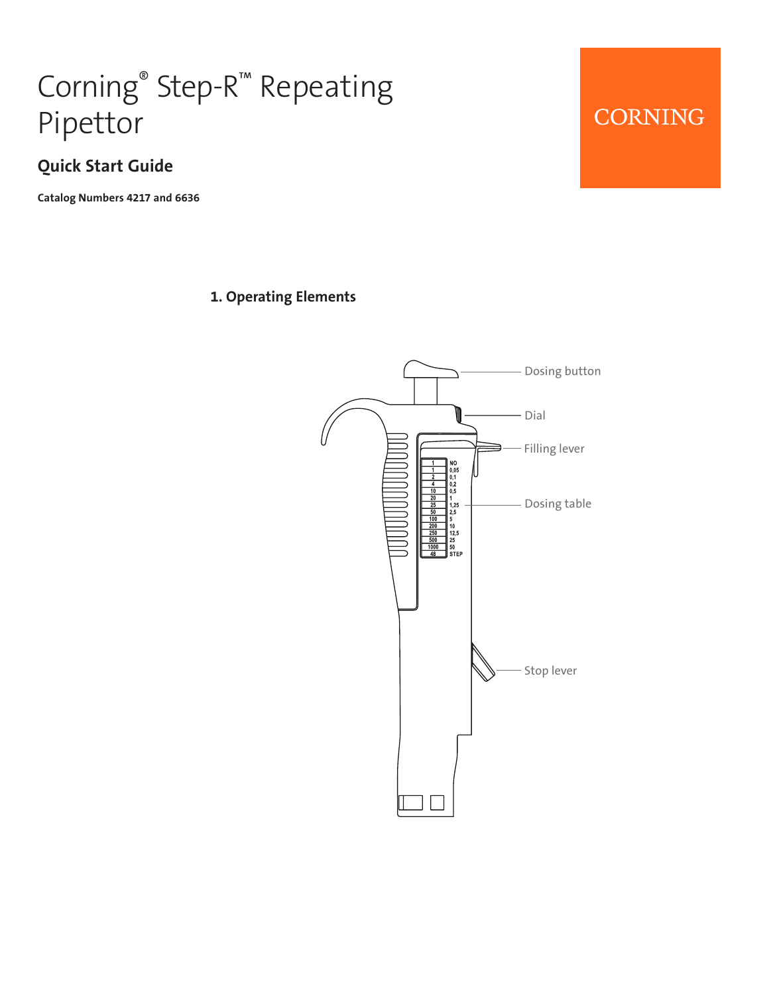# Corning® Step-R™ Repeating Pipettor

#### **Quick Start Guide**

**Catalog Numbers 4217 and 6636**

#### **1. Operating Elements**

# Dosing button Dial Filling lever  $\begin{array}{c} \n\text{NO} \\
0,05 \\
0,1 \\
0,2 \\
0,5\n\end{array}$  $\begin{array}{c} 1\\ 1,25\\ 2,5\\ 5\\ 10\\ 12,5\\ 25\\ 50\\ \text{STEF} \end{array}$ Dosing table Stop lever

## CORNING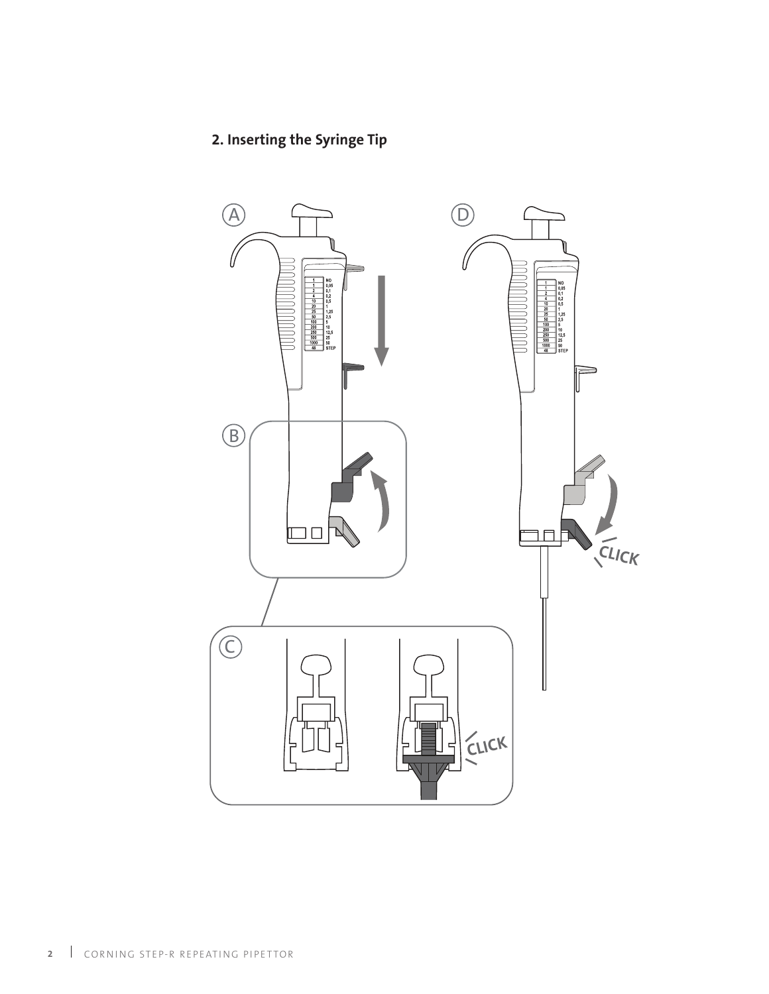#### **2. Inserting the Syringe Tip**

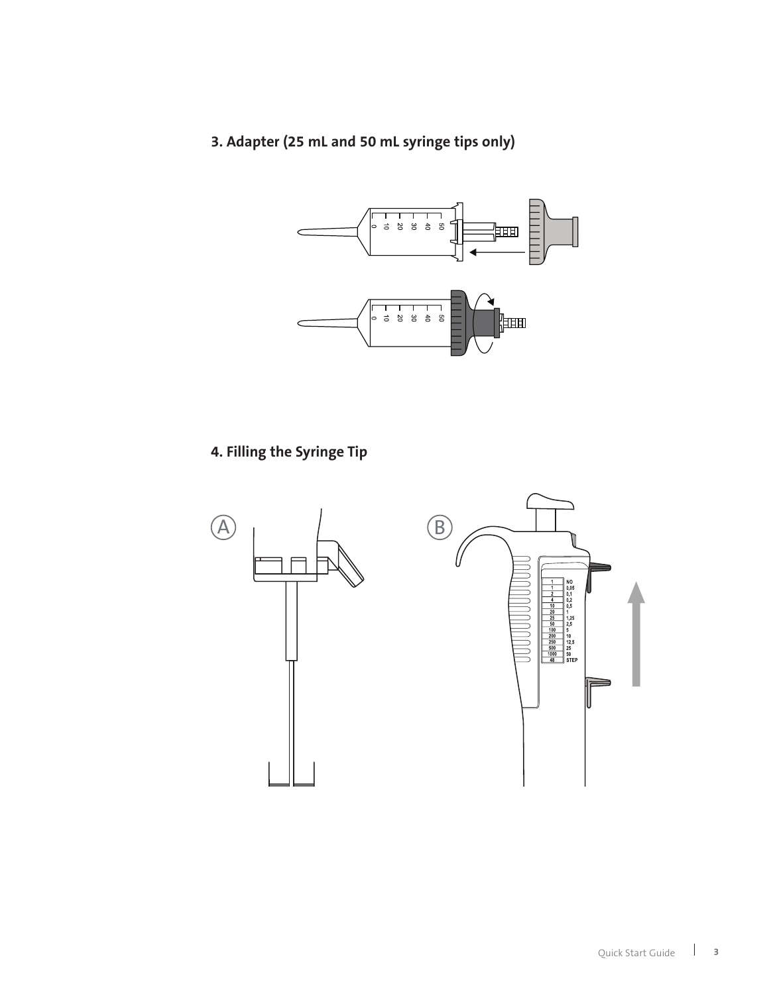#### **3. Adapter (25 mL and 50 mL syringe tips only)**



#### **4. Filling the Syringe Tip**